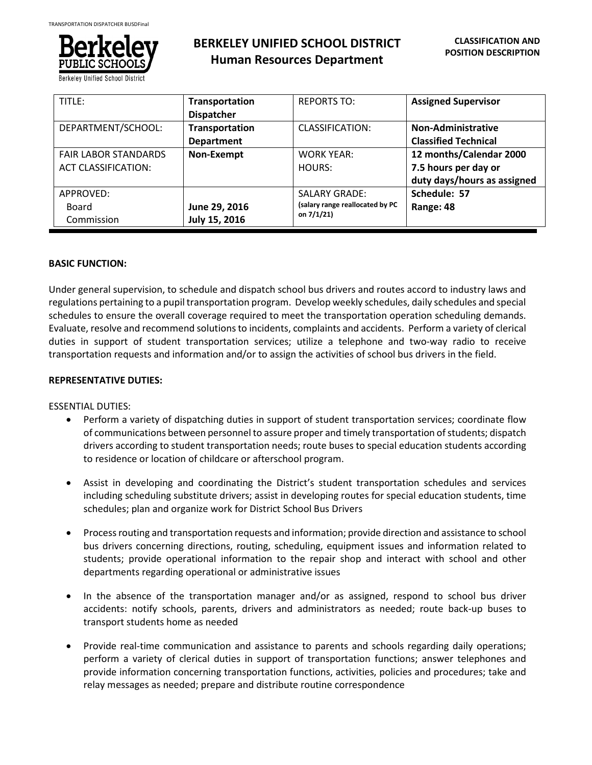

**Berkeley Unified School District** 

| TITLE:                      | Transportation<br><b>Dispatcher</b> | <b>REPORTS TO:</b>              | <b>Assigned Supervisor</b>                               |
|-----------------------------|-------------------------------------|---------------------------------|----------------------------------------------------------|
| DEPARTMENT/SCHOOL:          | Transportation<br><b>Department</b> | CLASSIFICATION:                 | <b>Non-Administrative</b><br><b>Classified Technical</b> |
| <b>FAIR LABOR STANDARDS</b> | Non-Exempt                          | <b>WORK YEAR:</b>               | 12 months/Calendar 2000                                  |
| <b>ACT CLASSIFICATION:</b>  |                                     | HOURS:                          | 7.5 hours per day or<br>duty days/hours as assigned      |
| APPROVED:                   |                                     | <b>SALARY GRADE:</b>            | Schedule: 57                                             |
| Board                       | June 29, 2016                       | (salary range reallocated by PC | Range: 48                                                |
| Commission                  | July 15, 2016                       | on $7/1/21$                     |                                                          |

# **BASIC FUNCTION:**

Under general supervision, to schedule and dispatch school bus drivers and routes accord to industry laws and regulations pertaining to a pupil transportation program. Develop weekly schedules, daily schedules and special schedules to ensure the overall coverage required to meet the transportation operation scheduling demands. Evaluate, resolve and recommend solutions to incidents, complaints and accidents. Perform a variety of clerical duties in support of student transportation services; utilize a telephone and two-way radio to receive transportation requests and information and/or to assign the activities of school bus drivers in the field.

# **REPRESENTATIVE DUTIES:**

ESSENTIAL DUTIES:

- Perform a variety of dispatching duties in support of student transportation services; coordinate flow of communications between personnel to assure proper and timely transportation of students; dispatch drivers according to student transportation needs; route buses to special education students according to residence or location of childcare or afterschool program.
- Assist in developing and coordinating the District's student transportation schedules and services including scheduling substitute drivers; assist in developing routes for special education students, time schedules; plan and organize work for District School Bus Drivers
- Process routing and transportation requests and information; provide direction and assistance to school bus drivers concerning directions, routing, scheduling, equipment issues and information related to students; provide operational information to the repair shop and interact with school and other departments regarding operational or administrative issues
- In the absence of the transportation manager and/or as assigned, respond to school bus driver accidents: notify schools, parents, drivers and administrators as needed; route back-up buses to transport students home as needed
- Provide real-time communication and assistance to parents and schools regarding daily operations; perform a variety of clerical duties in support of transportation functions; answer telephones and provide information concerning transportation functions, activities, policies and procedures; take and relay messages as needed; prepare and distribute routine correspondence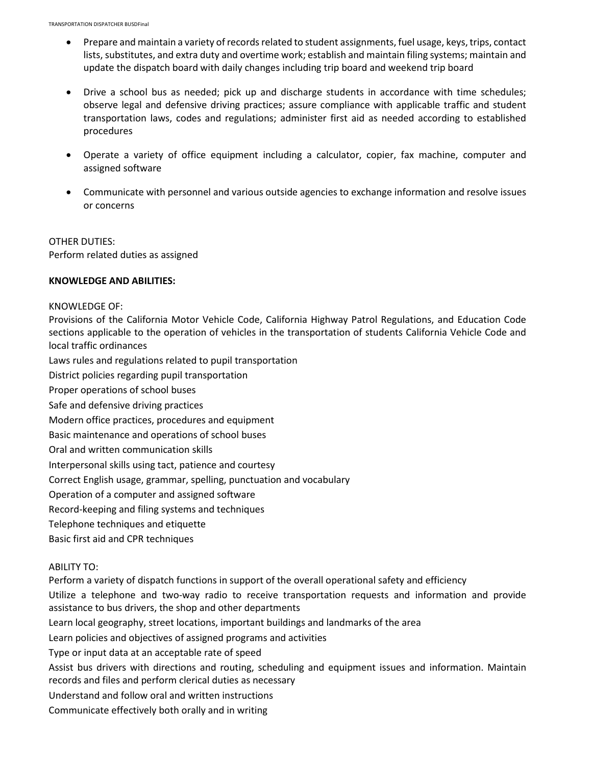- Prepare and maintain a variety of records related to student assignments, fuel usage, keys, trips, contact lists, substitutes, and extra duty and overtime work; establish and maintain filing systems; maintain and update the dispatch board with daily changes including trip board and weekend trip board
- Drive a school bus as needed; pick up and discharge students in accordance with time schedules; observe legal and defensive driving practices; assure compliance with applicable traffic and student transportation laws, codes and regulations; administer first aid as needed according to established procedures
- Operate a variety of office equipment including a calculator, copier, fax machine, computer and assigned software
- Communicate with personnel and various outside agencies to exchange information and resolve issues or concerns

OTHER DUTIES: Perform related duties as assigned

## **KNOWLEDGE AND ABILITIES:**

### KNOWLEDGE OF:

Provisions of the California Motor Vehicle Code, California Highway Patrol Regulations, and Education Code sections applicable to the operation of vehicles in the transportation of students California Vehicle Code and local traffic ordinances

Laws rules and regulations related to pupil transportation

District policies regarding pupil transportation

Proper operations of school buses

Safe and defensive driving practices

Modern office practices, procedures and equipment

Basic maintenance and operations of school buses

Oral and written communication skills

Interpersonal skills using tact, patience and courtesy

Correct English usage, grammar, spelling, punctuation and vocabulary

Operation of a computer and assigned software

Record-keeping and filing systems and techniques

Telephone techniques and etiquette

Basic first aid and CPR techniques

## ABILITY TO:

Perform a variety of dispatch functions in support of the overall operational safety and efficiency

Utilize a telephone and two-way radio to receive transportation requests and information and provide assistance to bus drivers, the shop and other departments

Learn local geography, street locations, important buildings and landmarks of the area

Learn policies and objectives of assigned programs and activities

Type or input data at an acceptable rate of speed

Assist bus drivers with directions and routing, scheduling and equipment issues and information. Maintain records and files and perform clerical duties as necessary

Understand and follow oral and written instructions

Communicate effectively both orally and in writing